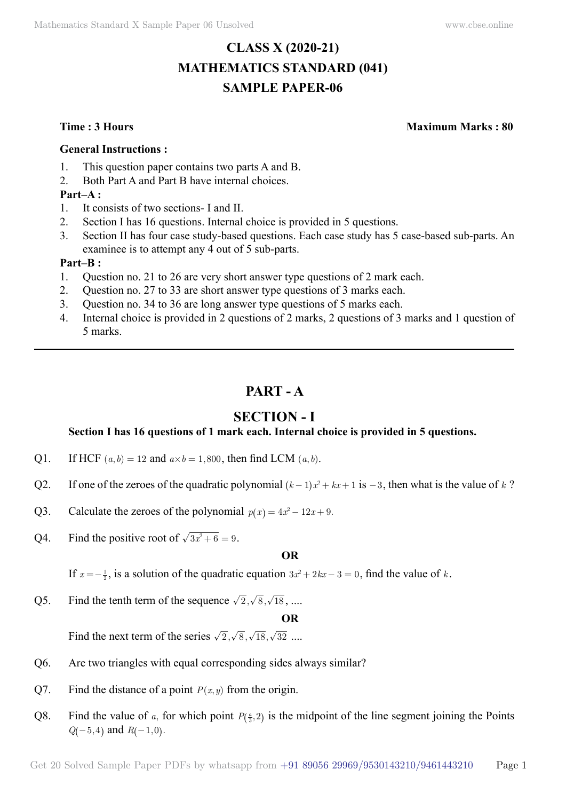# **CLASS X (2020-21) MATHEMATICS STANDARD (041) SAMPLE PAPER-06**

**Time : 3 Hours Maximum Marks : 80**

#### **General Instructions :**

- 1. This question paper contains two parts A and B.
- 2. Both Part A and Part B have internal choices.

### **Part–A :**

- 1. It consists of two sections- I and II.
- 2. Section I has 16 questions. Internal choice is provided in 5 questions.
- 3. Section II has four case study-based questions. Each case study has 5 case-based sub-parts. An examinee is to attempt any 4 out of 5 sub-parts.

#### **Part–B :**

- 1. Question no. 21 to 26 are very short answer type questions of 2 mark each.
- 2. Question no. 27 to 33 are short answer type questions of 3 marks each.
- 3. Question no. 34 to 36 are long answer type questions of 5 marks each.
- 4. Internal choice is provided in 2 questions of 2 marks, 2 questions of 3 marks and 1 question of 5 marks.

# **Part - A**

# **Section - I**

## **Section I has 16 questions of 1 mark each. Internal choice is provided in 5 questions.**

- Q1. If HCF  $(a, b) = 12$  and  $a \times b = 1,800$ , then find LCM  $(a, b)$ .
- Q2. If one of the zeroes of the quadratic polynomial  $(k-1)x^2 + kx + 1$  is  $-3$ , then what is the value of *k* ?
- Q3. Calculate the zeroes of the polynomial  $p(x) = 4x^2 12x + 9$ .
- O4. Find the positive root of  $\sqrt{3x^2 + 6} = 9$ .

#### **O**

If  $x = -\frac{1}{2}$ , is a solution of the quadratic equation  $3x^2 + 2kx - 3 = 0$ , find the value of *k*.

Q5. Find the tenth term of the sequence  $\sqrt{2}$ ,  $\sqrt{8}$ ,  $\sqrt{18}$ , ....

#### **O**

Find the next term of the series  $\sqrt{2}$ ,  $\sqrt{8}$ ,  $\sqrt{18}$ ,  $\sqrt{32}$  ....

- Q6. Are two triangles with equal corresponding sides always similar?
- Q7. Find the distance of a point  $P(x, y)$  from the origin.
- Q8. Find the value of *a*, for which point  $P(\frac{a}{3}, 2)$  is the midpoint of the line segment joining the Points  $Q(-5, 4)$  and  $R(-1, 0)$ .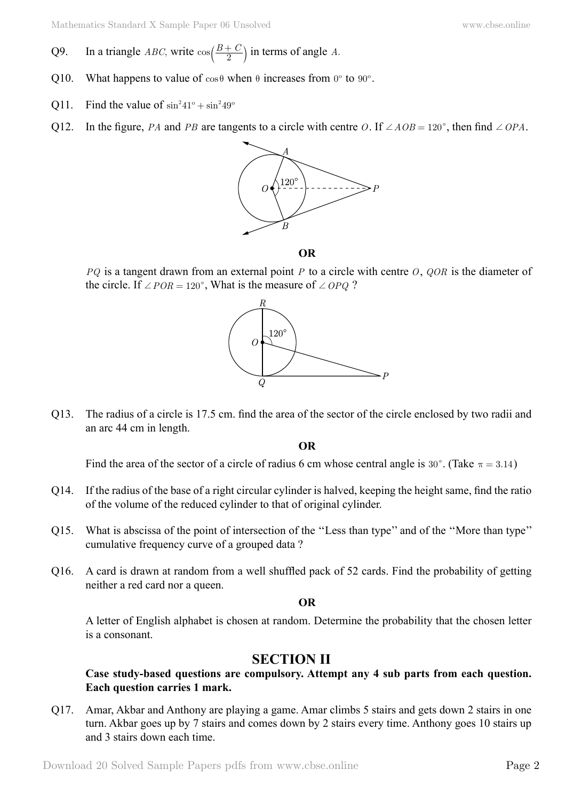- Q9. In a triangle *ABC*, write  $cos\left(\frac{B+C}{2}\right)$  in terms of angle *A*.
- Q10. What happens to value of  $\cos \theta$  when  $\theta$  increases from  $0^{\circ}$  to  $90^{\circ}$ .
- Q11. Find the value of  $\sin^2 41^\circ + \sin^2 49^\circ$
- Q12. In the figure, *PA* and *PB* are tangents to a circle with centre *O*. If  $\angle AOB = 120^{\circ}$ , then find  $\angle OPA$ .



 **O**

*PQ* is a tangent drawn from an external point *P* to a circle with centre *O*, *QOR* is the diameter of the circle. If  $\angle POR = 120^\circ$ , What is the measure of  $\angle OPQ$  ?



Q13. The radius of a circle is 17.5 cm. find the area of the sector of the circle enclosed by two radii and an arc 44 cm in length.

#### **O**

Find the area of the sector of a circle of radius 6 cm whose central angle is 30°. (Take  $\pi = 3.14$ )

- Q14. If the radius of the base of a right circular cylinder is halved, keeping the height same, find the ratio of the volume of the reduced cylinder to that of original cylinder.
- Q15. What is abscissa of the point of intersection of the ''Less than type'' and of the ''More than type'' cumulative frequency curve of a grouped data ?
- Q16. A card is drawn at random from a well shuffled pack of 52 cards. Find the probability of getting neither a red card nor a queen.

#### **O**

A letter of English alphabet is chosen at random. Determine the probability that the chosen letter is a consonant.

# **Section II**

**Case study-based questions are compulsory. Attempt any 4 sub parts from each question. Each question carries 1 mark.**

Q17. Amar, Akbar and Anthony are playing a game. Amar climbs 5 stairs and gets down 2 stairs in one turn. Akbar goes up by 7 stairs and comes down by 2 stairs every time. Anthony goes 10 stairs up and 3 stairs down each time.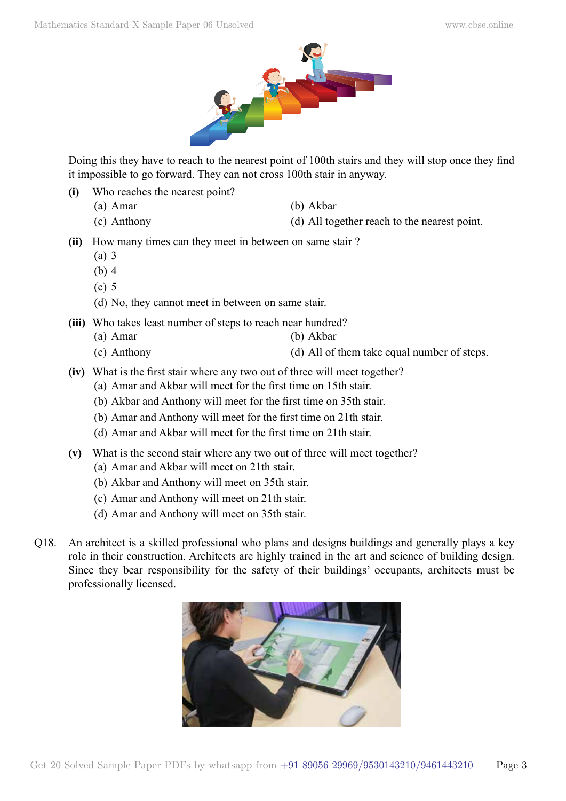

Doing this they have to reach to the nearest point of 100th stairs and they will stop once they find it impossible to go forward. They can not cross 100th stair in anyway.

- **(i)** Who reaches the nearest point?
	- (a) Amar (b) Akbar
- - (c) Anthony (d) All together reach to the nearest point.
- **(ii)** How many times can they meet in between on same stair ?
	- (a) 3
	- (b) 4
	- (c) 5
	- (d) No, they cannot meet in between on same stair.
- **(iii)** Who takes least number of steps to reach near hundred?
	- (a) Amar (b) Akbar
		-
	- (c) Anthony (d) All of them take equal number of steps.
- **(iv)** What is the first stair where any two out of three will meet together?
	- (a) Amar and Akbar will meet for the first time on 15th stair.
	- (b) Akbar and Anthony will meet for the first time on 35th stair.
	- (b) Amar and Anthony will meet for the first time on 21th stair.
	- (d) Amar and Akbar will meet for the first time on 21th stair.
- **(v)** What is the second stair where any two out of three will meet together?
	- (a) Amar and Akbar will meet on 21th stair.
	- (b) Akbar and Anthony will meet on 35th stair.
	- (c) Amar and Anthony will meet on 21th stair.
	- (d) Amar and Anthony will meet on 35th stair.
- Q18. An architect is a skilled professional who plans and designs buildings and generally plays a key role in their construction. Architects are highly trained in the art and science of building design. Since they bear responsibility for the safety of their buildings' occupants, architects must be professionally licensed.

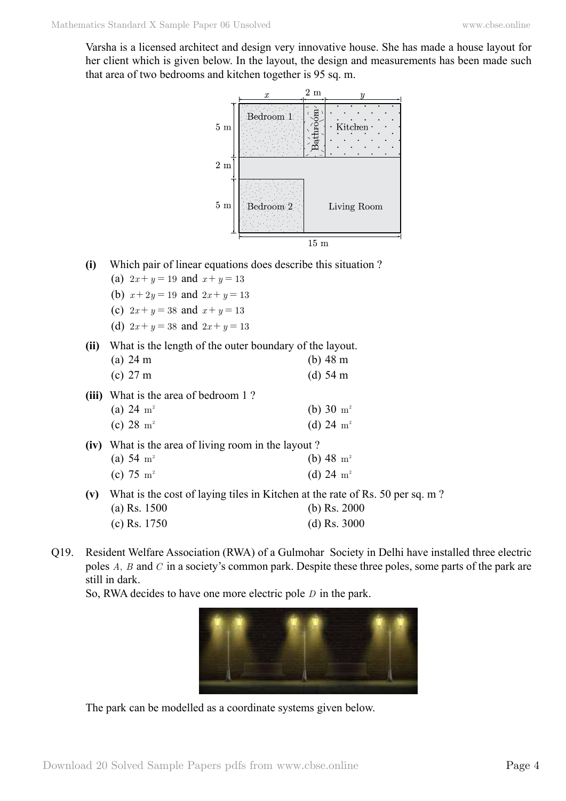Varsha is a licensed architect and design very innovative house. She has made a house layout for her client which is given below. In the layout, the design and measurements has been made such that area of two bedrooms and kitchen together is 95 sq. m.



- **(i)** Which pair of linear equations does describe this situation ?
	- (a)  $2x + y = 19$  and  $x + y = 13$
	- (b)  $x + 2y = 19$  and  $2x + y = 13$
	- (c)  $2x + y = 38$  and  $x + y = 13$
	- (d)  $2x + y = 38$  and  $2x + y = 13$
- **(ii)** What is the length of the outer boundary of the layout.

|     | (a) 24 m                                            | (b) $48 \text{ m}$                                                           |
|-----|-----------------------------------------------------|------------------------------------------------------------------------------|
|     | (c) 27 m                                            | (d) $54 \text{ m}$                                                           |
|     | (iii) What is the area of bedroom 1?                |                                                                              |
|     | (a) 24 $m^2$                                        | (b) 30 $\rm m^2$                                                             |
|     | (c) 28 $m^2$                                        | (d) 24 $m^2$                                                                 |
|     | (iv) What is the area of living room in the layout? |                                                                              |
|     | (a) 54 $m2$                                         | (b) 48 $m2$                                                                  |
|     | (c) 75 $m^2$                                        | (d) 24 $m^2$                                                                 |
| (v) |                                                     | What is the cost of laying tiles in Kitchen at the rate of Rs. 50 per sq. m? |
|     | $(200 - 1500$                                       | $(A)$ $D_2$ $2000$                                                           |

- (a) Rs. 1500 (b) Rs. 2000 (c) Rs. 1750 (d) Rs. 3000
- Q19. Resident Welfare Association (RWA) of a Gulmohar Society in Delhi have installed three electric poles *A*, *B* and *C* in a society's common park. Despite these three poles, some parts of the park are still in dark.

So, RWA decides to have one more electric pole *D* in the park.



The park can be modelled as a coordinate systems given below.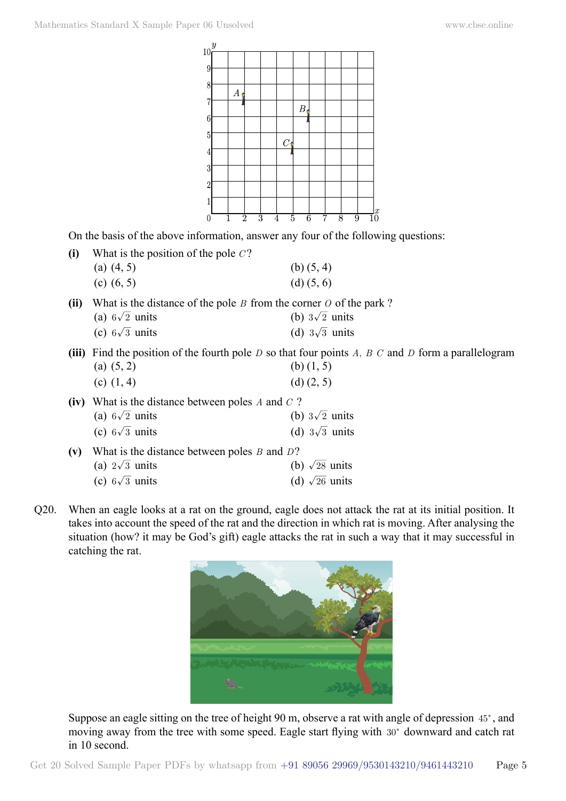

On the basis of the above information, answer any four of the following questions:

| What is the position of the pole $C$ ? |                |
|----------------------------------------|----------------|
| (a) $(4, 5)$                           | (b) $(5, 4)$   |
| (c) $(6, 5)$                           | $(d)$ $(5, 6)$ |

**(ii)** What is the distance of the pole *B* from the corner *O* of the park ?

| (a) $6\sqrt{2}$ units | (b) $3\sqrt{2}$ units |
|-----------------------|-----------------------|
|                       |                       |

- (c)  $6\sqrt{3}$  units (d)  $3\sqrt{3}$  units
- **(iii)** Find the position of the fourth pole *D* so that four points *A*, *B C* and *D* form a parallelogram (a)  $(5, 2)$  (b)  $(1, 5)$

| (c) $(1, 4)$ | $(d)$ $(2, 5)$ |
|--------------|----------------|
|--------------|----------------|

| (iv) What is the distance between poles A and $C$ ?  |  |                       |  |  |  |  |
|------------------------------------------------------|--|-----------------------|--|--|--|--|
| (a) $6\sqrt{2}$ units                                |  | (b) $3\sqrt{2}$ units |  |  |  |  |
| (c) $6\sqrt{3}$ units                                |  | (d) $3\sqrt{3}$ units |  |  |  |  |
| (v) What is the distance between poles $B$ and $D$ ? |  |                       |  |  |  |  |

| (a) $2\sqrt{3}$ units | (b) $\sqrt{28}$ units |
|-----------------------|-----------------------|
| (c) $6\sqrt{3}$ units | (d) $\sqrt{26}$ units |

Q20. When an eagle looks at a rat on the ground, eagle does not attack the rat at its initial position. It takes into account the speed of the rat and the direction in which rat is moving. After analysing the situation (how? it may be God's gift) eagle attacks the rat in such a way that it may successful in catching the rat.



Suppose an eagle sitting on the tree of height 90 m, observe a rat with angle of depression 45°, and moving away from the tree with some speed. Eagle start flying with  $30^{\circ}$  downward and catch rat in 10 second.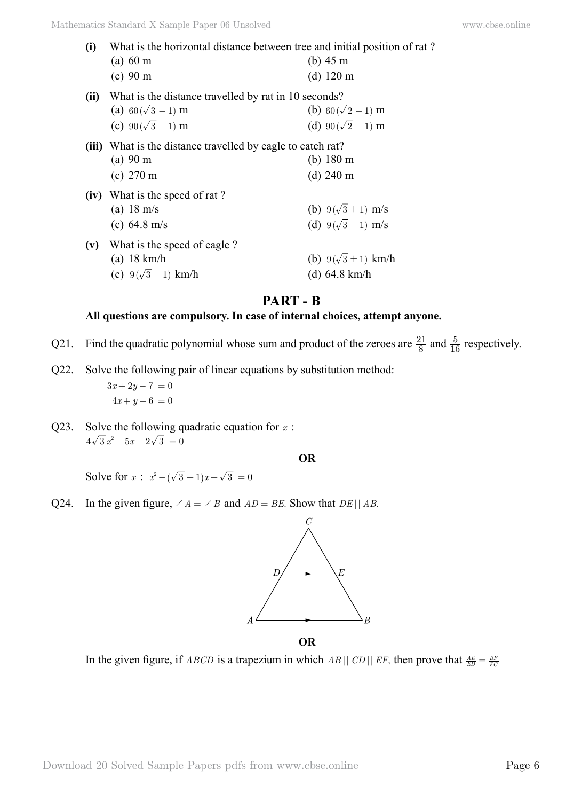| (i)  | What is the horizontal distance between tree and initial position of rat? |                          |
|------|---------------------------------------------------------------------------|--------------------------|
|      | (a) 60 m                                                                  | (b) $45 \text{ m}$       |
|      | (c) 90 m                                                                  | $(d)$ 120 m              |
| (ii) | What is the distance travelled by rat in 10 seconds?                      |                          |
|      | (a) $60(\sqrt{3}-1)$ m                                                    | (b) $60(\sqrt{2}-1)$ m   |
|      | (c) $90(\sqrt{3}-1)$ m                                                    | (d) $90(\sqrt{2}-1)$ m   |
|      | (iii) What is the distance travelled by eagle to catch rat?               |                          |
|      | (a) 90 m                                                                  | (b) $180 \text{ m}$      |
|      | $(c)$ 270 m                                                               | $(d)$ 240 m              |
|      | (iv) What is the speed of rat?                                            |                          |
|      | (a) $18 \text{ m/s}$                                                      | (b) $9(\sqrt{3}+1)$ m/s  |
|      | (c) $64.8 \text{ m/s}$                                                    | (d) $9(\sqrt{3}-1)$ m/s  |
| (v)  | What is the speed of eagle?                                               |                          |
|      | $(a)$ 18 km/h                                                             | (b) $9(\sqrt{3}+1)$ km/h |
|      | (c) $9(\sqrt{3}+1)$ km/h                                                  | (d) $64.8 \text{ km/h}$  |
|      |                                                                           |                          |

# **Part - B**

#### **All questions are compulsory. In case of internal choices, attempt anyone.**

- Q21. Find the quadratic polynomial whose sum and product of the zeroes are  $\frac{21}{8}$  and  $\frac{5}{16}$  respectively.
- Q22. Solve the following pair of linear equations by substitution method:  $3x + 2y - 7 = 0$  $4x + y - 6 = 0$
- Q23. Solve the following quadratic equation for *x* :  $4\sqrt{3} x^2 + 5x - 2\sqrt{3} = 0$

#### **O**

Solve for  $x : x^2 - (\sqrt{3} + 1)x + \sqrt{3} = 0$ 

Q24. In the given figure,  $\angle A = \angle B$  and  $AD = BE$ . Show that  $DE||AB$ .



 **O**

In the given figure, if *ABCD* is a trapezium in which *AB*|| *CD*|| *EF*, then prove that  $\frac{AE}{ED} = \frac{BE}{FC}$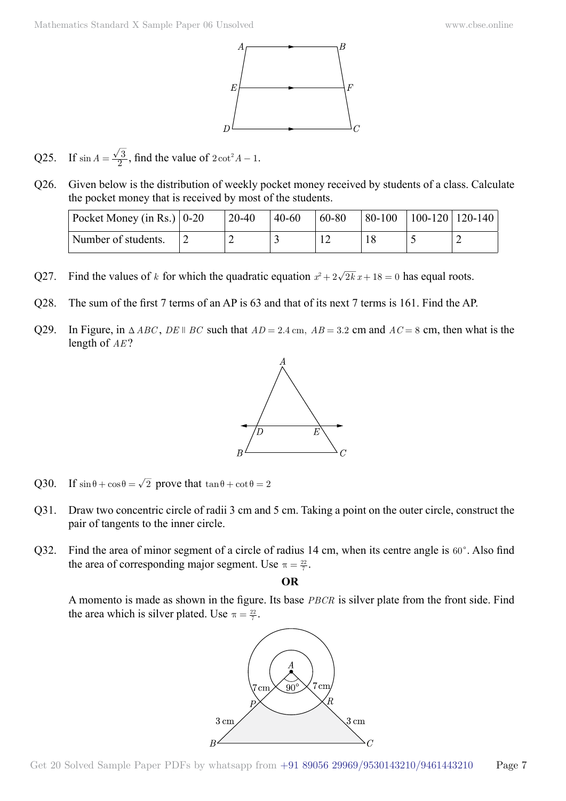

- Q25. If  $\sin A = \frac{\sqrt{3}}{2}$ , find the value of  $2\cot^2 A 1$ .
- Q26. Given below is the distribution of weekly pocket money received by students of a class. Calculate the pocket money that is received by most of the students.

| Pocket Money (in Rs.) $\vert 0\textrm{-}20 \rangle$ | $20 - 40$ | $40-60$ | 60-80 | $80-100$ | 100-120   120-140 |  |
|-----------------------------------------------------|-----------|---------|-------|----------|-------------------|--|
| Number of students.                                 | ∸         |         |       |          |                   |  |

- Q27. Find the values of *k* for which the quadratic equation  $x^2 + 2\sqrt{2k}x + 18 = 0$  has equal roots.
- Q28. The sum of the first 7 terms of an AP is 63 and that of its next 7 terms is 161. Find the AP.
- Q29. In Figure, in  $\triangle ABC$ ,  $DE \parallel BC$  such that  $AD = 2.4$  cm,  $AB = 3.2$  cm and  $AC = 8$  cm, then what is the length of *AE* ?



- Q30. If  $\sin \theta + \cos \theta = \sqrt{2}$  prove that  $\tan \theta + \cot \theta = 2$
- Q31. Draw two concentric circle of radii 3 cm and 5 cm. Taking a point on the outer circle, construct the pair of tangents to the inner circle.
- Q32. Find the area of minor segment of a circle of radius 14 cm, when its centre angle is  $60^\circ$ . Also find the area of corresponding major segment. Use  $\pi = \frac{22}{7}$ .

 **O**

A momento is made as shown in the figure. Its base *PBCR* is silver plate from the front side. Find the area which is silver plated. Use  $\pi = \frac{22}{7}$ .